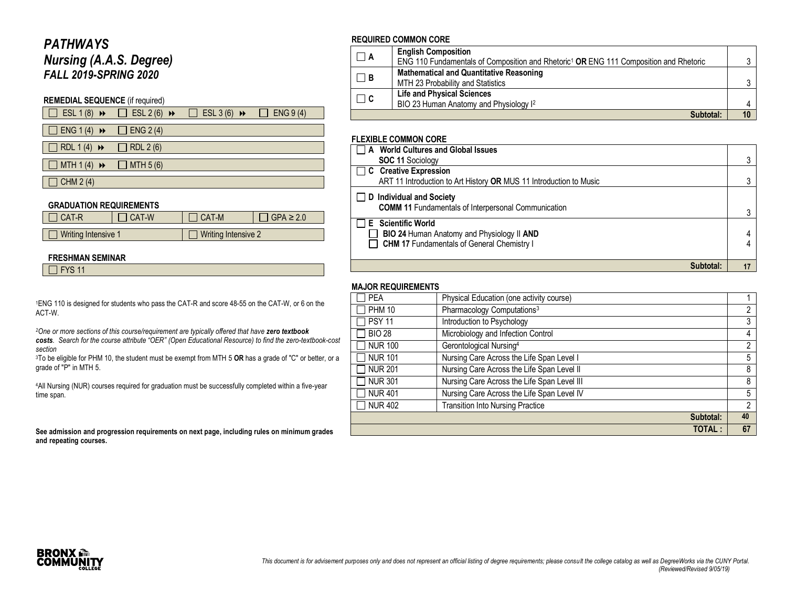# *PATHWAYS Nursing (A.A.S. Degree) FALL 2019-SPRING 2020*

### **REMEDIAL SEQUENCE** (if required)

|                                                 | $\Box$ ESL 1 (8) $\rightarrow$ $\Box$ ESL 2 (6) $\rightarrow$ $\Box$ ESL 3 (6) $\rightarrow$ $\Box$ ENG 9 (4) |  |
|-------------------------------------------------|---------------------------------------------------------------------------------------------------------------|--|
|                                                 |                                                                                                               |  |
| $\Box$ ENG 1 (4) $\rightarrow$ $\Box$ ENG 2 (4) |                                                                                                               |  |

 $\Box$  RDL 1 (4)  $\leftrightarrow$   $\Box$  RDL 2 (6)

 $\Box$  MTH 1 (4)  $\leftrightarrow$   $\Box$  MTH 5 (6)

 $\Box$  CHM 2 (4)

#### **GRADUATION REQUIREMENTS**

| I CAT-R             | CAT-W | l CAT-M | $GPA \geq 2.0$      |  |
|---------------------|-------|---------|---------------------|--|
|                     |       |         |                     |  |
| Writing Intensive 1 |       |         | Writing Intensive 2 |  |

#### **FRESHMAN SEMINAR**

 $\Box$  FYS 11

<sup>1</sup>ENG 110 is designed for students who pass the CAT-R and score 48-55 on the CAT-W, or 6 on the ACT-W.

*<sup>2</sup>One or more sections of this course/requirement are typically offered that have zero textbook* 

*costs. Search for the course attribute "OER" (Open Educational Resource) to find the zero-textbook-cost section*

<sup>3</sup>To be eligible for PHM 10, the student must be exempt from MTH 5 **OR** has a grade of "C" or better, or a grade of "P" in MTH 5.

<sup>4</sup>All Nursing (NUR) courses required for graduation must be successfully completed within a five-year time span.

**See admission and progression requirements on next page, including rules on minimum grades and repeating courses.**

#### **REQUIRED COMMON CORE**

| $\Box$ A | <b>English Composition</b><br>ENG 110 Fundamentals of Composition and Rhetoric <sup>1</sup> OR ENG 111 Composition and Rhetoric |  |
|----------|---------------------------------------------------------------------------------------------------------------------------------|--|
| $\Box$ B | <b>Mathematical and Quantitative Reasoning</b><br>MTH 23 Probability and Statistics                                             |  |
| $\Box$ C | <b>Life and Physical Sciences</b><br>BIO 23 Human Anatomy and Physiology I <sup>2</sup>                                         |  |
|          | Subtotal:                                                                                                                       |  |

#### **FLEXIBLE COMMON CORE**

| A World Cultures and Global Issues                                 |    |
|--------------------------------------------------------------------|----|
| <b>SOC 11 Sociology</b>                                            | ാ  |
| $\Box$ C Creative Expression                                       |    |
| ART 11 Introduction to Art History OR MUS 11 Introduction to Music | 3  |
| $\Box$ D Individual and Society                                    |    |
| <b>COMM 11</b> Fundamentals of Interpersonal Communication         | າ  |
| <b>E</b> Scientific World                                          |    |
| BIO 24 Human Anatomy and Physiology II AND                         |    |
| <b>CHM 17 Fundamentals of General Chemistry I</b>                  | 4  |
|                                                                    |    |
| Subtotal:                                                          | 17 |

#### **MAJOR REQUIREMENTS**

| <b>PEA</b>     | Physical Education (one activity course)    |               |
|----------------|---------------------------------------------|---------------|
| <b>PHM 10</b>  | Pharmacology Computations <sup>3</sup>      | 2             |
| <b>PSY 11</b>  | Introduction to Psychology                  | 3             |
| <b>BIO 28</b>  | Microbiology and Infection Control          | 4             |
| <b>NUR 100</b> | Gerontological Nursing <sup>4</sup>         | 2             |
| <b>NUR 101</b> | Nursing Care Across the Life Span Level I   | 5             |
| <b>NUR 201</b> | Nursing Care Across the Life Span Level II  | 8             |
| <b>NUR 301</b> | Nursing Care Across the Life Span Level III | 8             |
| <b>NUR 401</b> | Nursing Care Across the Life Span Level IV  | 5             |
| <b>NUR 402</b> | <b>Transition Into Nursing Practice</b>     | $\mathcal{P}$ |
|                | Subtotal:                                   | 40            |
|                | <b>TOTAL:</b>                               | 67            |